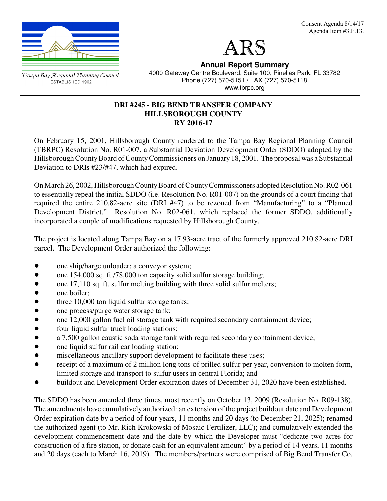



Tampa Bay Regional Planning Council ESTABLISHED 1962

**Annual Report Summary** 4000 Gateway Centre Boulevard, Suite 100, Pinellas Park, FL 33782 Phone (727) 570-5151 / FAX (727) 570-5118 www.tbrpc.org

## **DRI #245 - BIG BEND TRANSFER COMPANY HILLSBOROUGH COUNTY RY 2016-17**

On February 15, 2001, Hillsborough County rendered to the Tampa Bay Regional Planning Council (TBRPC) Resolution No. R01-007, a Substantial Deviation Development Order (SDDO) adopted by the Hillsborough County Board of County Commissioners on January 18, 2001. The proposal was a Substantial Deviation to DRIs #23/#47, which had expired.

On March 26, 2002, Hillsborough County Board of County Commissioners adopted Resolution No. R02-061 to essentially repeal the initial SDDO (i.e. Resolution No. R01-007) on the grounds of a court finding that required the entire 210.82-acre site (DRI #47) to be rezoned from "Manufacturing" to a "Planned Development District." Resolution No. R02-061, which replaced the former SDDO, additionally incorporated a couple of modifications requested by Hillsborough County.

The project is located along Tampa Bay on a 17.93-acre tract of the formerly approved 210.82-acre DRI parcel. The Development Order authorized the following:

- one ship/barge unloader; a conveyor system;
- one 154,000 sq. ft./78,000 ton capacity solid sulfur storage building;
- $\bullet$  one 17,110 sq. ft. sulfur melting building with three solid sulfur melters;
- one boiler;
- three 10,000 ton liquid sulfur storage tanks;
- one process/purge water storage tank;<br>• one 12,000 gallon fuel oil storage tank
- one 12,000 gallon fuel oil storage tank with required secondary containment device;
- four liquid sulfur truck loading stations;
- a 7,500 gallon caustic soda storage tank with required secondary containment device;
- one liquid sulfur rail car loading station;
- miscellaneous ancillary support development to facilitate these uses;
- receipt of a maximum of 2 million long tons of prilled sulfur per year, conversion to molten form, limited storage and transport to sulfur users in central Florida; and
- buildout and Development Order expiration dates of December 31, 2020 have been established.

The SDDO has been amended three times, most recently on October 13, 2009 (Resolution No. R09-138). The amendments have cumulatively authorized: an extension of the project buildout date and Development Order expiration date by a period of four years, 11 months and 20 days (to December 21, 2025); renamed the authorized agent (to Mr. Rich Krokowski of Mosaic Fertilizer, LLC); and cumulatively extended the development commencement date and the date by which the Developer must "dedicate two acres for construction of a fire station, or donate cash for an equivalent amount" by a period of 14 years, 11 months and 20 days (each to March 16, 2019). The members/partners were comprised of Big Bend Transfer Co.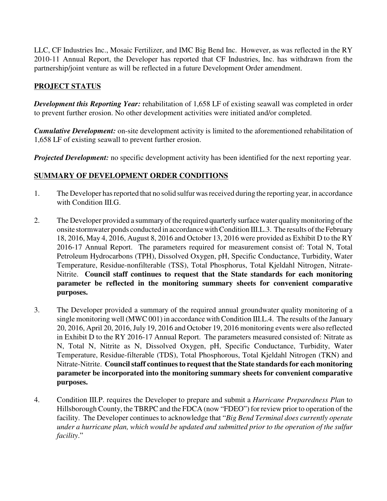LLC, CF Industries Inc., Mosaic Fertilizer, and IMC Big Bend Inc. However, as was reflected in the RY 2010-11 Annual Report, the Developer has reported that CF Industries, Inc. has withdrawn from the partnership/joint venture as will be reflected in a future Development Order amendment.

# **PROJECT STATUS**

*Development this Reporting Year:* rehabilitation of 1,658 LF of existing seawall was completed in order to prevent further erosion. No other development activities were initiated and/or completed.

*Cumulative Development:* on-site development activity is limited to the aforementioned rehabilitation of 1,658 LF of existing seawall to prevent further erosion.

*Projected Development:* no specific development activity has been identified for the next reporting year.

# **SUMMARY OF DEVELOPMENT ORDER CONDITIONS**

- 1. The Developer has reported that no solid sulfur was received during the reporting year, in accordance with Condition III.G.
- 2. The Developer provided a summary of the required quarterly surface water quality monitoring of the onsite stormwater ponds conducted in accordance with Condition III.L.3. The results of the February 18, 2016, May 4, 2016, August 8, 2016 and October 13, 2016 were provided as Exhibit D to the RY 2016-17 Annual Report. The parameters required for measurement consist of: Total N, Total Petroleum Hydrocarbons (TPH), Dissolved Oxygen, pH, Specific Conductance, Turbidity, Water Temperature, Residue-nonfilterable (TSS), Total Phosphorus, Total Kjeldahl Nitrogen, Nitrate-Nitrite. **Council staff continues to request that the State standards for each monitoring parameter be reflected in the monitoring summary sheets for convenient comparative purposes.**
- 3. The Developer provided a summary of the required annual groundwater quality monitoring of a single monitoring well (MWC 001) in accordance with Condition III.L.4. The results of the January 20, 2016, April 20, 2016, July 19, 2016 and October 19, 2016 monitoring events were also reflected in Exhibit D to the RY 2016-17 Annual Report. The parameters measured consisted of: Nitrate as N, Total N, Nitrite as N, Dissolved Oxygen, pH, Specific Conductance, Turbidity, Water Temperature, Residue-filterable (TDS), Total Phosphorous, Total Kjeldahl Nitrogen (TKN) and Nitrate-Nitrite. **Council staff continues to request that the State standards for each monitoring parameter be incorporated into the monitoring summary sheets for convenient comparative purposes.**
- 4. Condition III.P. requires the Developer to prepare and submit a *Hurricane Preparedness Plan* to Hillsborough County, the TBRPC and the FDCA (now "FDEO") for review prior to operation of the facility. The Developer continues to acknowledge that "*Big Bend Terminal does currently operate under a hurricane plan, which would be updated and submitted prior to the operation of the sulfur facility*."